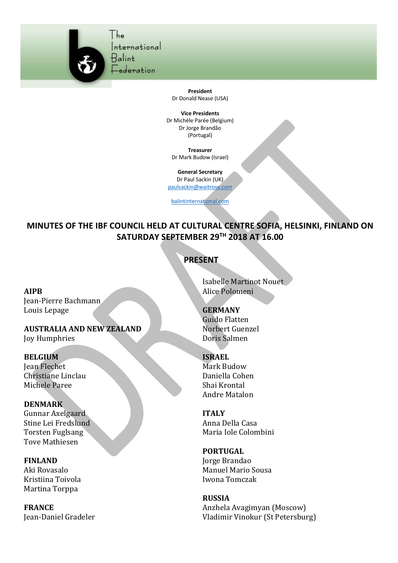

The International Ralint

ederation:

**President** Dr Donald Nease (USA)

**Vice Presidents** Dr Michèle Parée (Belgium) Dr Jorge Brandão (Portugal)

**Treasurer** Dr Mark Budow (Israel)

**General Secretary** Dr Paul Sackin (UK)

paulsackin@waitrose.com

balintinternational.com

**MINUTES OF THE IBF COUNCIL HELD AT CULTURAL CENTRE SOFIA, HELSINKI, FINLAND ON SATURDAY SEPTEMBER 29TH 2018 AT 16.00**

## **PRESENT**

**AIPB**

Jean-Pierre Bachmann Louis Lepage

# **AUSTRALIA AND NEW ZEALAND**

Joy Humphries

#### **BELGIUM**

Jean Flechet Christiane Linclau Michele Paree

## **DENMARK**

Gunnar Axelgaard Stine Lei Fredslund Torsten Fuglsang Tove Mathiesen

#### **FINLAND**

Aki Rovasalo Kristiina Toivola Martina Torppa

**FRANCE** Jean-Daniel Gradeler Isabelle Martinot Nouet Alice Polomeni

## **GERMANY**

Guido Flatten Norbert Guenzel Doris Salmen

## **ISRAEL**

Mark Budow Daniella Cohen Shai Krontal Andre Matalon

**ITALY** Anna Della Casa Maria Iole Colombini

## **PORTUGAL**

Jorge Brandao Manuel Mario Sousa Iwona Tomczak

## **RUSSIA**

Anzhela Avagimyan (Moscow) Vladimir Vinokur (St Petersburg)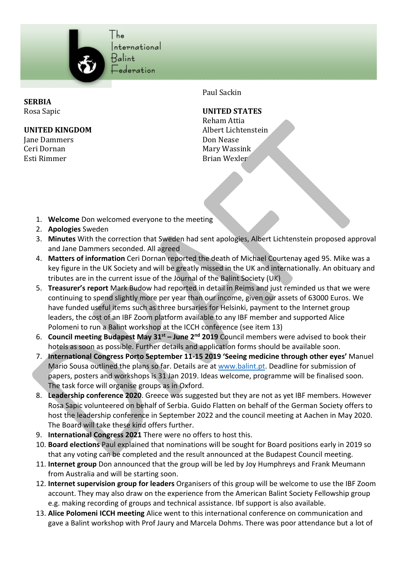

International

**SERBIA** Rosa Sapic

#### **UNITED KINGDOM**

Jane Dammers Ceri Dornan Esti Rimmer

Paul Sackin

#### **UNITED STATES**

Reham Attia Albert Lichtenstein Don Nease Mary Wassink Brian Wexler

- 1. **Welcome** Don welcomed everyone to the meeting
- 2. **Apologies** Sweden
- 3. **Minutes** With the correction that Sweden had sent apologies, Albert Lichtenstein proposed approval and Jane Dammers seconded. All agreed
- 4. **Matters of information** Ceri Dornan reported the death of Michael Courtenay aged 95. Mike was a key figure in the UK Society and will be greatly missed in the UK and internationally. An obituary and tributes are in the current issue of the Journal of the Balint Society (UK)
- 5. **Treasurer's report** Mark Budow had reported in detail in Reims and just reminded us that we were continuing to spend slightly more per year than our income, given our assets of 63000 Euros. We have funded useful items such as three bursaries for Helsinki, payment to the Internet group leaders, the cost of an IBF Zoom platform available to any IBF member and supported Alice Polomeni to run a Balint workshop at the ICCH conference (see item 13)
- 6. **Council meeting Budapest May 31st – June 2nd 2019** Council members were advised to book their hotels as soon as possible. Further details and application forms should be available soon.
- 7. **International Congress Porto September 11-15 2019 'Seeing medicine through other eyes'** Manuel Mario Sousa outlined the plans so far. Details are at www.balint.pt. Deadline for submission of papers, posters and workshops is 31 Jan 2019. Ideas welcome, programme will be finalised soon. The task force will organise groups as in Oxford.
- 8. **Leadership conference 2020**. Greece was suggested but they are not as yet IBF members. However Rosa Sapic volunteered on behalf of Serbia. Guido Flatten on behalf of the German Society offers to host the leadership conference in September 2022 and the council meeting at Aachen in May 2020. The Board will take these kind offers further.
- 9. **International Congress 2021** There were no offers to host this.
- 10. **Board elections** Paul explained that nominations will be sought for Board positions early in 2019 so that any voting can be completed and the result announced at the Budapest Council meeting.
- 11. **Internet group** Don announced that the group will be led by Joy Humphreys and Frank Meumann from Australia and will be starting soon.
- 12. **Internet supervision group for leaders** Organisers of this group will be welcome to use the IBF Zoom account. They may also draw on the experience from the American Balint Society Fellowship group e.g. making recording of groups and technical assistance. Ibf support is also available.
- 13. **Alice Polomeni ICCH meeting** Alice went to this international conference on communication and gave a Balint workshop with Prof Jaury and Marcela Dohms. There was poor attendance but a lot of